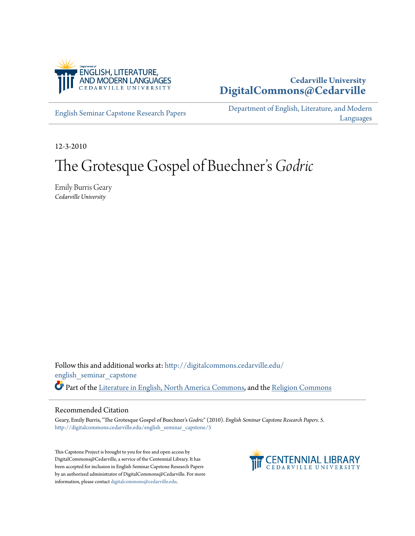

# **Cedarville University [DigitalCommons@Cedarville](http://digitalcommons.cedarville.edu?utm_source=digitalcommons.cedarville.edu%2Fenglish_seminar_capstone%2F5&utm_medium=PDF&utm_campaign=PDFCoverPages)**

[English Seminar Capstone Research Papers](http://digitalcommons.cedarville.edu/english_seminar_capstone?utm_source=digitalcommons.cedarville.edu%2Fenglish_seminar_capstone%2F5&utm_medium=PDF&utm_campaign=PDFCoverPages)

[Department of English, Literature, and Modern](http://digitalcommons.cedarville.edu/english_literature_modern_languages?utm_source=digitalcommons.cedarville.edu%2Fenglish_seminar_capstone%2F5&utm_medium=PDF&utm_campaign=PDFCoverPages) [Languages](http://digitalcommons.cedarville.edu/english_literature_modern_languages?utm_source=digitalcommons.cedarville.edu%2Fenglish_seminar_capstone%2F5&utm_medium=PDF&utm_campaign=PDFCoverPages)

12-3-2010

## The Grotesque Gospel of Buechner s *Godric* י<br>' י

Emily Burris Geary *Cedarville University*

Follow this and additional works at: [http://digitalcommons.cedarville.edu/](http://digitalcommons.cedarville.edu/english_seminar_capstone?utm_source=digitalcommons.cedarville.edu%2Fenglish_seminar_capstone%2F5&utm_medium=PDF&utm_campaign=PDFCoverPages) [english\\_seminar\\_capstone](http://digitalcommons.cedarville.edu/english_seminar_capstone?utm_source=digitalcommons.cedarville.edu%2Fenglish_seminar_capstone%2F5&utm_medium=PDF&utm_campaign=PDFCoverPages) Part of the [Literature in English, North America Commons](http://network.bepress.com/hgg/discipline/458?utm_source=digitalcommons.cedarville.edu%2Fenglish_seminar_capstone%2F5&utm_medium=PDF&utm_campaign=PDFCoverPages), and the [Religion Commons](http://network.bepress.com/hgg/discipline/538?utm_source=digitalcommons.cedarville.edu%2Fenglish_seminar_capstone%2F5&utm_medium=PDF&utm_campaign=PDFCoverPages)

#### Recommended Citation

Geary, Emily Burris, "The Grotesque Gospel of Buechner's *Godric*" (2010). *English Seminar Capstone Research Papers*. 5. [http://digitalcommons.cedarville.edu/english\\_seminar\\_capstone/5](http://digitalcommons.cedarville.edu/english_seminar_capstone/5?utm_source=digitalcommons.cedarville.edu%2Fenglish_seminar_capstone%2F5&utm_medium=PDF&utm_campaign=PDFCoverPages)

This Capstone Project is brought to you for free and open access by DigitalCommons@Cedarville, a service of the Centennial Library. It has been accepted for inclusion in English Seminar Capstone Research Papers by an authorized administrator of DigitalCommons@Cedarville. For more information, please contact [digitalcommons@cedarville.edu.](mailto:digitalcommons@cedarville.edu)

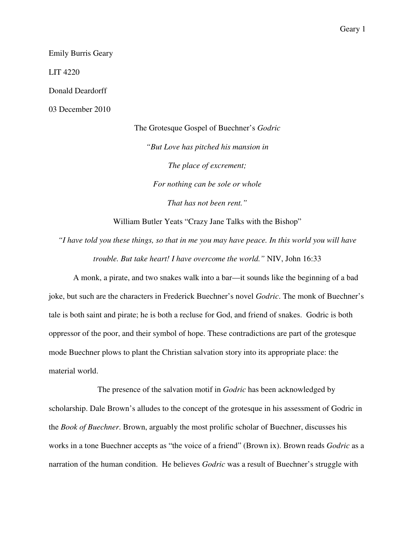Emily Burris Geary

LIT 4220

Donald Deardorff

03 December 2010

The Grotesque Gospel of Buechner's *Godric "But Love has pitched his mansion in The place of excrement; For nothing can be sole or whole That has not been rent."* 

William Butler Yeats "Crazy Jane Talks with the Bishop"

*"I have told you these things, so that in me you may have peace. In this world you will have trouble. But take heart! I have overcome the world."* NIV, John 16:33

A monk, a pirate, and two snakes walk into a bar—it sounds like the beginning of a bad joke, but such are the characters in Frederick Buechner's novel *Godric*. The monk of Buechner's tale is both saint and pirate; he is both a recluse for God, and friend of snakes. Godric is both oppressor of the poor, and their symbol of hope. These contradictions are part of the grotesque mode Buechner plows to plant the Christian salvation story into its appropriate place: the material world.

 The presence of the salvation motif in *Godric* has been acknowledged by scholarship. Dale Brown's alludes to the concept of the grotesque in his assessment of Godric in the *Book of Buechner*. Brown, arguably the most prolific scholar of Buechner, discusses his works in a tone Buechner accepts as "the voice of a friend" (Brown ix). Brown reads *Godric* as a narration of the human condition. He believes *Godric* was a result of Buechner's struggle with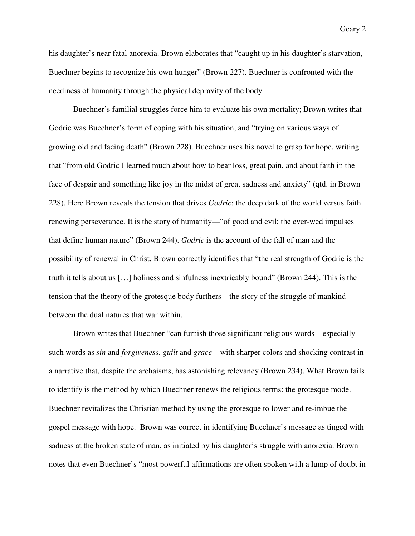his daughter's near fatal anorexia. Brown elaborates that "caught up in his daughter's starvation, Buechner begins to recognize his own hunger" (Brown 227). Buechner is confronted with the neediness of humanity through the physical depravity of the body.

Buechner's familial struggles force him to evaluate his own mortality; Brown writes that Godric was Buechner's form of coping with his situation, and "trying on various ways of growing old and facing death" (Brown 228). Buechner uses his novel to grasp for hope, writing that "from old Godric I learned much about how to bear loss, great pain, and about faith in the face of despair and something like joy in the midst of great sadness and anxiety" (qtd. in Brown 228). Here Brown reveals the tension that drives *Godric*: the deep dark of the world versus faith renewing perseverance. It is the story of humanity—"of good and evil; the ever-wed impulses that define human nature" (Brown 244). *Godric* is the account of the fall of man and the possibility of renewal in Christ. Brown correctly identifies that "the real strength of Godric is the truth it tells about us […] holiness and sinfulness inextricably bound" (Brown 244). This is the tension that the theory of the grotesque body furthers—the story of the struggle of mankind between the dual natures that war within.

Brown writes that Buechner "can furnish those significant religious words—especially such words as *sin* and *forgiveness*, *guilt* and *grace*—with sharper colors and shocking contrast in a narrative that, despite the archaisms, has astonishing relevancy (Brown 234). What Brown fails to identify is the method by which Buechner renews the religious terms: the grotesque mode. Buechner revitalizes the Christian method by using the grotesque to lower and re-imbue the gospel message with hope. Brown was correct in identifying Buechner's message as tinged with sadness at the broken state of man, as initiated by his daughter's struggle with anorexia. Brown notes that even Buechner's "most powerful affirmations are often spoken with a lump of doubt in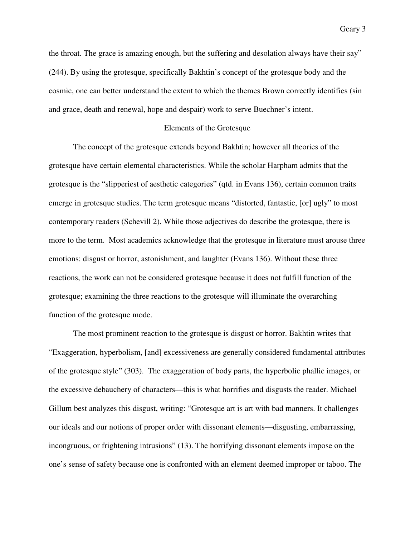the throat. The grace is amazing enough, but the suffering and desolation always have their say" (244). By using the grotesque, specifically Bakhtin's concept of the grotesque body and the cosmic, one can better understand the extent to which the themes Brown correctly identifies (sin and grace, death and renewal, hope and despair) work to serve Buechner's intent.

### Elements of the Grotesque

 The concept of the grotesque extends beyond Bakhtin; however all theories of the grotesque have certain elemental characteristics. While the scholar Harpham admits that the grotesque is the "slipperiest of aesthetic categories" (qtd. in Evans 136), certain common traits emerge in grotesque studies. The term grotesque means "distorted, fantastic, [or] ugly" to most contemporary readers (Schevill 2). While those adjectives do describe the grotesque, there is more to the term. Most academics acknowledge that the grotesque in literature must arouse three emotions: disgust or horror, astonishment, and laughter (Evans 136). Without these three reactions, the work can not be considered grotesque because it does not fulfill function of the grotesque; examining the three reactions to the grotesque will illuminate the overarching function of the grotesque mode.

 The most prominent reaction to the grotesque is disgust or horror. Bakhtin writes that "Exaggeration, hyperbolism, [and] excessiveness are generally considered fundamental attributes of the grotesque style" (303). The exaggeration of body parts, the hyperbolic phallic images, or the excessive debauchery of characters—this is what horrifies and disgusts the reader. Michael Gillum best analyzes this disgust, writing: "Grotesque art is art with bad manners. It challenges our ideals and our notions of proper order with dissonant elements—disgusting, embarrassing, incongruous, or frightening intrusions" (13). The horrifying dissonant elements impose on the one's sense of safety because one is confronted with an element deemed improper or taboo. The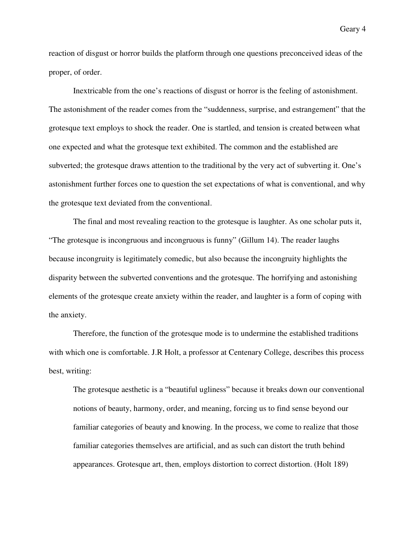reaction of disgust or horror builds the platform through one questions preconceived ideas of the proper, of order.

 Inextricable from the one's reactions of disgust or horror is the feeling of astonishment. The astonishment of the reader comes from the "suddenness, surprise, and estrangement" that the grotesque text employs to shock the reader. One is startled, and tension is created between what one expected and what the grotesque text exhibited. The common and the established are subverted; the grotesque draws attention to the traditional by the very act of subverting it. One's astonishment further forces one to question the set expectations of what is conventional, and why the grotesque text deviated from the conventional.

 The final and most revealing reaction to the grotesque is laughter. As one scholar puts it, "The grotesque is incongruous and incongruous is funny" (Gillum 14). The reader laughs because incongruity is legitimately comedic, but also because the incongruity highlights the disparity between the subverted conventions and the grotesque. The horrifying and astonishing elements of the grotesque create anxiety within the reader, and laughter is a form of coping with the anxiety.

 Therefore, the function of the grotesque mode is to undermine the established traditions with which one is comfortable. J.R Holt, a professor at Centenary College, describes this process best, writing:

The grotesque aesthetic is a "beautiful ugliness" because it breaks down our conventional notions of beauty, harmony, order, and meaning, forcing us to find sense beyond our familiar categories of beauty and knowing. In the process, we come to realize that those familiar categories themselves are artificial, and as such can distort the truth behind appearances. Grotesque art, then, employs distortion to correct distortion. (Holt 189)

Geary 4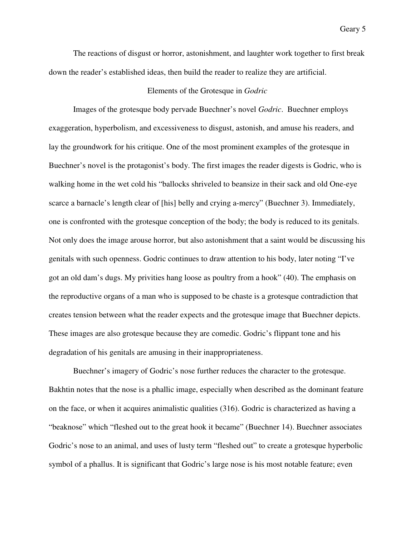The reactions of disgust or horror, astonishment, and laughter work together to first break down the reader's established ideas, then build the reader to realize they are artificial.

## Elements of the Grotesque in *Godric*

 Images of the grotesque body pervade Buechner's novel *Godric*. Buechner employs exaggeration, hyperbolism, and excessiveness to disgust, astonish, and amuse his readers, and lay the groundwork for his critique. One of the most prominent examples of the grotesque in Buechner's novel is the protagonist's body. The first images the reader digests is Godric, who is walking home in the wet cold his "ballocks shriveled to beansize in their sack and old One-eye scarce a barnacle's length clear of [his] belly and crying a-mercy" (Buechner 3). Immediately, one is confronted with the grotesque conception of the body; the body is reduced to its genitals. Not only does the image arouse horror, but also astonishment that a saint would be discussing his genitals with such openness. Godric continues to draw attention to his body, later noting "I've got an old dam's dugs. My privities hang loose as poultry from a hook" (40). The emphasis on the reproductive organs of a man who is supposed to be chaste is a grotesque contradiction that creates tension between what the reader expects and the grotesque image that Buechner depicts. These images are also grotesque because they are comedic. Godric's flippant tone and his degradation of his genitals are amusing in their inappropriateness.

 Buechner's imagery of Godric's nose further reduces the character to the grotesque. Bakhtin notes that the nose is a phallic image, especially when described as the dominant feature on the face, or when it acquires animalistic qualities (316). Godric is characterized as having a "beaknose" which "fleshed out to the great hook it became" (Buechner 14). Buechner associates Godric's nose to an animal, and uses of lusty term "fleshed out" to create a grotesque hyperbolic symbol of a phallus. It is significant that Godric's large nose is his most notable feature; even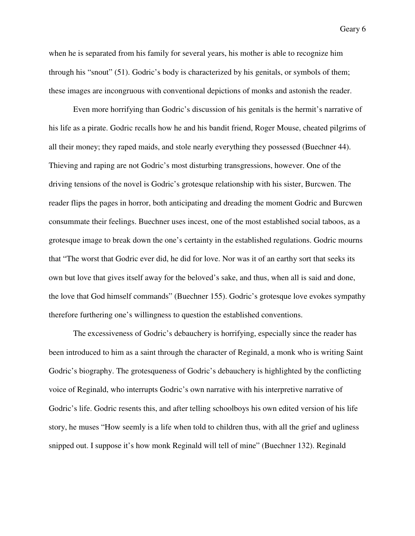when he is separated from his family for several years, his mother is able to recognize him through his "snout" (51). Godric's body is characterized by his genitals, or symbols of them; these images are incongruous with conventional depictions of monks and astonish the reader.

 Even more horrifying than Godric's discussion of his genitals is the hermit's narrative of his life as a pirate. Godric recalls how he and his bandit friend, Roger Mouse, cheated pilgrims of all their money; they raped maids, and stole nearly everything they possessed (Buechner 44). Thieving and raping are not Godric's most disturbing transgressions, however. One of the driving tensions of the novel is Godric's grotesque relationship with his sister, Burcwen. The reader flips the pages in horror, both anticipating and dreading the moment Godric and Burcwen consummate their feelings. Buechner uses incest, one of the most established social taboos, as a grotesque image to break down the one's certainty in the established regulations. Godric mourns that "The worst that Godric ever did, he did for love. Nor was it of an earthy sort that seeks its own but love that gives itself away for the beloved's sake, and thus, when all is said and done, the love that God himself commands" (Buechner 155). Godric's grotesque love evokes sympathy therefore furthering one's willingness to question the established conventions.

The excessiveness of Godric's debauchery is horrifying, especially since the reader has been introduced to him as a saint through the character of Reginald, a monk who is writing Saint Godric's biography. The grotesqueness of Godric's debauchery is highlighted by the conflicting voice of Reginald, who interrupts Godric's own narrative with his interpretive narrative of Godric's life. Godric resents this, and after telling schoolboys his own edited version of his life story, he muses "How seemly is a life when told to children thus, with all the grief and ugliness snipped out. I suppose it's how monk Reginald will tell of mine" (Buechner 132). Reginald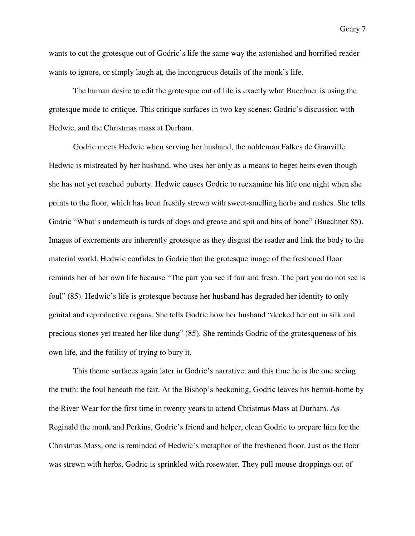wants to cut the grotesque out of Godric's life the same way the astonished and horrified reader wants to ignore, or simply laugh at, the incongruous details of the monk's life.

 The human desire to edit the grotesque out of life is exactly what Buechner is using the grotesque mode to critique. This critique surfaces in two key scenes: Godric's discussion with Hedwic, and the Christmas mass at Durham.

 Godric meets Hedwic when serving her husband, the nobleman Falkes de Granville. Hedwic is mistreated by her husband, who uses her only as a means to beget heirs even though she has not yet reached puberty. Hedwic causes Godric to reexamine his life one night when she points to the floor, which has been freshly strewn with sweet-smelling herbs and rushes. She tells Godric "What's underneath is turds of dogs and grease and spit and bits of bone" (Buechner 85). Images of excrements are inherently grotesque as they disgust the reader and link the body to the material world. Hedwic confides to Godric that the grotesque image of the freshened floor reminds her of her own life because "The part you see if fair and fresh. The part you do not see is foul" (85). Hedwic's life is grotesque because her husband has degraded her identity to only genital and reproductive organs. She tells Godric how her husband "decked her out in silk and precious stones yet treated her like dung" (85). She reminds Godric of the grotesqueness of his own life, and the futility of trying to bury it.

 This theme surfaces again later in Godric's narrative, and this time he is the one seeing the truth: the foul beneath the fair. At the Bishop's beckoning, Godric leaves his hermit-home by the River Wear for the first time in twenty years to attend Christmas Mass at Durham. As Reginald the monk and Perkins, Godric's friend and helper, clean Godric to prepare him for the Christmas Mass, one is reminded of Hedwic's metaphor of the freshened floor. Just as the floor was strewn with herbs, Godric is sprinkled with rosewater. They pull mouse droppings out of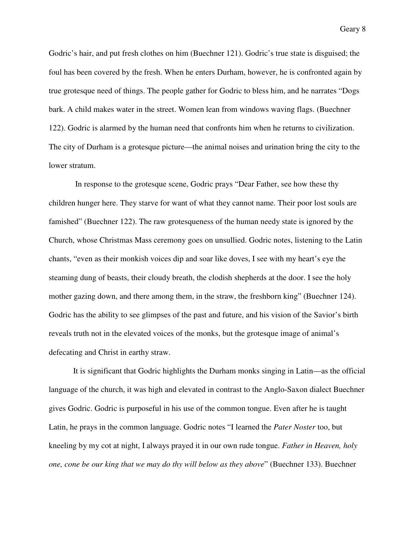Godric's hair, and put fresh clothes on him (Buechner 121). Godric's true state is disguised; the foul has been covered by the fresh. When he enters Durham, however, he is confronted again by true grotesque need of things. The people gather for Godric to bless him, and he narrates "Dogs bark. A child makes water in the street. Women lean from windows waving flags. (Buechner 122). Godric is alarmed by the human need that confronts him when he returns to civilization. The city of Durham is a grotesque picture—the animal noises and urination bring the city to the lower stratum.

 In response to the grotesque scene, Godric prays "Dear Father, see how these thy children hunger here. They starve for want of what they cannot name. Their poor lost souls are famished" (Buechner 122). The raw grotesqueness of the human needy state is ignored by the Church, whose Christmas Mass ceremony goes on unsullied. Godric notes, listening to the Latin chants, "even as their monkish voices dip and soar like doves, I see with my heart's eye the steaming dung of beasts, their cloudy breath, the clodish shepherds at the door. I see the holy mother gazing down, and there among them, in the straw, the freshborn king" (Buechner 124). Godric has the ability to see glimpses of the past and future, and his vision of the Savior's birth reveals truth not in the elevated voices of the monks, but the grotesque image of animal's defecating and Christ in earthy straw.

It is significant that Godric highlights the Durham monks singing in Latin—as the official language of the church, it was high and elevated in contrast to the Anglo-Saxon dialect Buechner gives Godric. Godric is purposeful in his use of the common tongue. Even after he is taught Latin, he prays in the common language. Godric notes "I learned the *Pater Noster* too, but kneeling by my cot at night, I always prayed it in our own rude tongue. *Father in Heaven, holy one, cone be our king that we may do thy will below as they above*" (Buechner 133). Buechner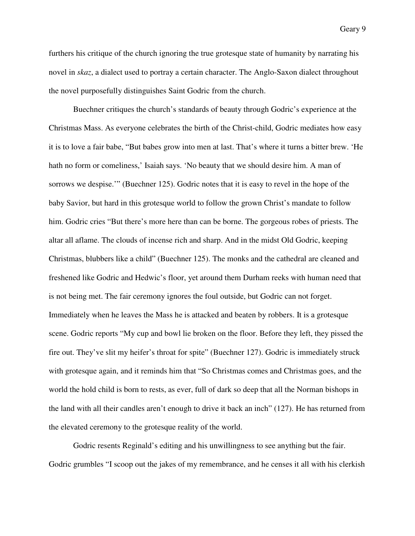furthers his critique of the church ignoring the true grotesque state of humanity by narrating his novel in *skaz*, a dialect used to portray a certain character. The Anglo-Saxon dialect throughout the novel purposefully distinguishes Saint Godric from the church.

Buechner critiques the church's standards of beauty through Godric's experience at the Christmas Mass. As everyone celebrates the birth of the Christ-child, Godric mediates how easy it is to love a fair babe, "But babes grow into men at last. That's where it turns a bitter brew. 'He hath no form or comeliness,' Isaiah says. 'No beauty that we should desire him. A man of sorrows we despise.'" (Buechner 125). Godric notes that it is easy to revel in the hope of the baby Savior, but hard in this grotesque world to follow the grown Christ's mandate to follow him. Godric cries "But there's more here than can be borne. The gorgeous robes of priests. The altar all aflame. The clouds of incense rich and sharp. And in the midst Old Godric, keeping Christmas, blubbers like a child" (Buechner 125). The monks and the cathedral are cleaned and freshened like Godric and Hedwic's floor, yet around them Durham reeks with human need that is not being met. The fair ceremony ignores the foul outside, but Godric can not forget. Immediately when he leaves the Mass he is attacked and beaten by robbers. It is a grotesque scene. Godric reports "My cup and bowl lie broken on the floor. Before they left, they pissed the fire out. They've slit my heifer's throat for spite" (Buechner 127). Godric is immediately struck with grotesque again, and it reminds him that "So Christmas comes and Christmas goes, and the world the hold child is born to rests, as ever, full of dark so deep that all the Norman bishops in the land with all their candles aren't enough to drive it back an inch" (127). He has returned from the elevated ceremony to the grotesque reality of the world.

Godric resents Reginald's editing and his unwillingness to see anything but the fair. Godric grumbles "I scoop out the jakes of my remembrance, and he censes it all with his clerkish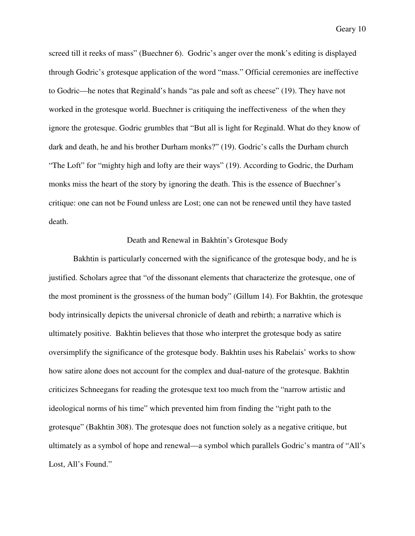screed till it reeks of mass" (Buechner 6). Godric's anger over the monk's editing is displayed through Godric's grotesque application of the word "mass." Official ceremonies are ineffective to Godric—he notes that Reginald's hands "as pale and soft as cheese" (19). They have not worked in the grotesque world. Buechner is critiquing the ineffectiveness of the when they ignore the grotesque. Godric grumbles that "But all is light for Reginald. What do they know of dark and death, he and his brother Durham monks?" (19). Godric's calls the Durham church "The Loft" for "mighty high and lofty are their ways" (19). According to Godric, the Durham monks miss the heart of the story by ignoring the death. This is the essence of Buechner's critique: one can not be Found unless are Lost; one can not be renewed until they have tasted death.

## Death and Renewal in Bakhtin's Grotesque Body

Bakhtin is particularly concerned with the significance of the grotesque body, and he is justified. Scholars agree that "of the dissonant elements that characterize the grotesque, one of the most prominent is the grossness of the human body" (Gillum 14). For Bakhtin, the grotesque body intrinsically depicts the universal chronicle of death and rebirth; a narrative which is ultimately positive. Bakhtin believes that those who interpret the grotesque body as satire oversimplify the significance of the grotesque body. Bakhtin uses his Rabelais' works to show how satire alone does not account for the complex and dual-nature of the grotesque. Bakhtin criticizes Schneegans for reading the grotesque text too much from the "narrow artistic and ideological norms of his time" which prevented him from finding the "right path to the grotesque" (Bakhtin 308). The grotesque does not function solely as a negative critique, but ultimately as a symbol of hope and renewal—a symbol which parallels Godric's mantra of "All's Lost, All's Found."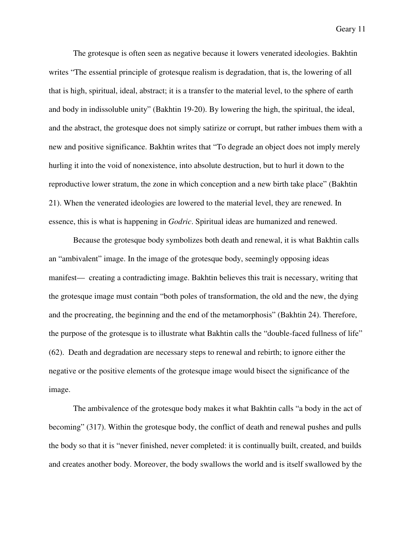The grotesque is often seen as negative because it lowers venerated ideologies. Bakhtin writes "The essential principle of grotesque realism is degradation, that is, the lowering of all that is high, spiritual, ideal, abstract; it is a transfer to the material level, to the sphere of earth and body in indissoluble unity" (Bakhtin 19-20). By lowering the high, the spiritual, the ideal, and the abstract, the grotesque does not simply satirize or corrupt, but rather imbues them with a new and positive significance. Bakhtin writes that "To degrade an object does not imply merely hurling it into the void of nonexistence, into absolute destruction, but to hurl it down to the reproductive lower stratum, the zone in which conception and a new birth take place" (Bakhtin 21). When the venerated ideologies are lowered to the material level, they are renewed. In essence, this is what is happening in *Godric*. Spiritual ideas are humanized and renewed.

Because the grotesque body symbolizes both death and renewal, it is what Bakhtin calls an "ambivalent" image. In the image of the grotesque body, seemingly opposing ideas manifest— creating a contradicting image. Bakhtin believes this trait is necessary, writing that the grotesque image must contain "both poles of transformation, the old and the new, the dying and the procreating, the beginning and the end of the metamorphosis" (Bakhtin 24). Therefore, the purpose of the grotesque is to illustrate what Bakhtin calls the "double-faced fullness of life" (62). Death and degradation are necessary steps to renewal and rebirth; to ignore either the negative or the positive elements of the grotesque image would bisect the significance of the image.

The ambivalence of the grotesque body makes it what Bakhtin calls "a body in the act of becoming" (317). Within the grotesque body, the conflict of death and renewal pushes and pulls the body so that it is "never finished, never completed: it is continually built, created, and builds and creates another body. Moreover, the body swallows the world and is itself swallowed by the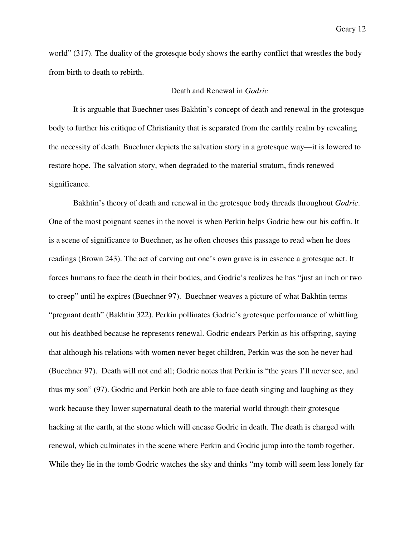world" (317). The duality of the grotesque body shows the earthy conflict that wrestles the body from birth to death to rebirth.

### Death and Renewal in *Godric*

 It is arguable that Buechner uses Bakhtin's concept of death and renewal in the grotesque body to further his critique of Christianity that is separated from the earthly realm by revealing the necessity of death. Buechner depicts the salvation story in a grotesque way—it is lowered to restore hope. The salvation story, when degraded to the material stratum, finds renewed significance.

 Bakhtin's theory of death and renewal in the grotesque body threads throughout *Godric*. One of the most poignant scenes in the novel is when Perkin helps Godric hew out his coffin. It is a scene of significance to Buechner, as he often chooses this passage to read when he does readings (Brown 243). The act of carving out one's own grave is in essence a grotesque act. It forces humans to face the death in their bodies, and Godric's realizes he has "just an inch or two to creep" until he expires (Buechner 97). Buechner weaves a picture of what Bakhtin terms "pregnant death" (Bakhtin 322). Perkin pollinates Godric's grotesque performance of whittling out his deathbed because he represents renewal. Godric endears Perkin as his offspring, saying that although his relations with women never beget children, Perkin was the son he never had (Buechner 97). Death will not end all; Godric notes that Perkin is "the years I'll never see, and thus my son" (97). Godric and Perkin both are able to face death singing and laughing as they work because they lower supernatural death to the material world through their grotesque hacking at the earth, at the stone which will encase Godric in death. The death is charged with renewal, which culminates in the scene where Perkin and Godric jump into the tomb together. While they lie in the tomb Godric watches the sky and thinks "my tomb will seem less lonely far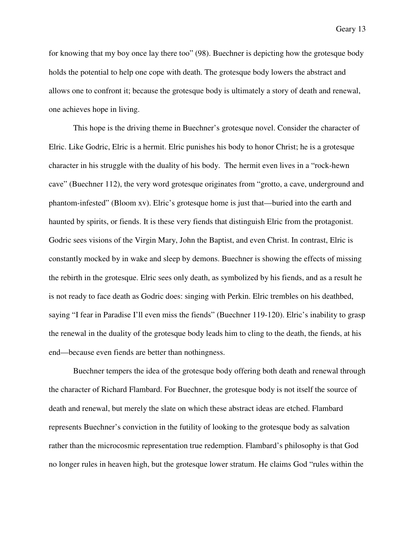for knowing that my boy once lay there too" (98). Buechner is depicting how the grotesque body holds the potential to help one cope with death. The grotesque body lowers the abstract and allows one to confront it; because the grotesque body is ultimately a story of death and renewal, one achieves hope in living.

 This hope is the driving theme in Buechner's grotesque novel. Consider the character of Elric. Like Godric, Elric is a hermit. Elric punishes his body to honor Christ; he is a grotesque character in his struggle with the duality of his body. The hermit even lives in a "rock-hewn cave" (Buechner 112), the very word grotesque originates from "grotto, a cave, underground and phantom-infested" (Bloom xv). Elric's grotesque home is just that—buried into the earth and haunted by spirits, or fiends. It is these very fiends that distinguish Elric from the protagonist. Godric sees visions of the Virgin Mary, John the Baptist, and even Christ. In contrast, Elric is constantly mocked by in wake and sleep by demons. Buechner is showing the effects of missing the rebirth in the grotesque. Elric sees only death, as symbolized by his fiends, and as a result he is not ready to face death as Godric does: singing with Perkin. Elric trembles on his deathbed, saying "I fear in Paradise I'll even miss the fiends" (Buechner 119-120). Elric's inability to grasp the renewal in the duality of the grotesque body leads him to cling to the death, the fiends, at his end—because even fiends are better than nothingness.

 Buechner tempers the idea of the grotesque body offering both death and renewal through the character of Richard Flambard. For Buechner, the grotesque body is not itself the source of death and renewal, but merely the slate on which these abstract ideas are etched. Flambard represents Buechner's conviction in the futility of looking to the grotesque body as salvation rather than the microcosmic representation true redemption. Flambard's philosophy is that God no longer rules in heaven high, but the grotesque lower stratum. He claims God "rules within the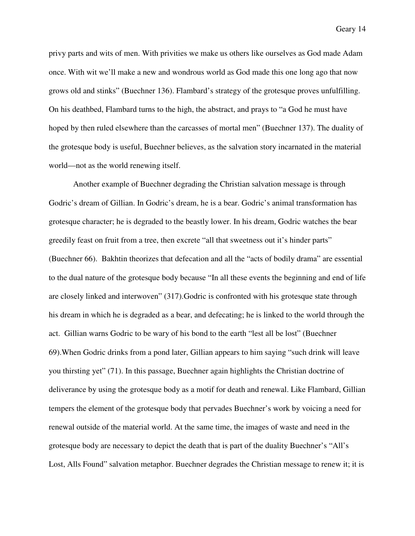privy parts and wits of men. With privities we make us others like ourselves as God made Adam once. With wit we'll make a new and wondrous world as God made this one long ago that now grows old and stinks" (Buechner 136). Flambard's strategy of the grotesque proves unfulfilling. On his deathbed, Flambard turns to the high, the abstract, and prays to "a God he must have hoped by then ruled elsewhere than the carcasses of mortal men" (Buechner 137). The duality of the grotesque body is useful, Buechner believes, as the salvation story incarnated in the material world—not as the world renewing itself.

 Another example of Buechner degrading the Christian salvation message is through Godric's dream of Gillian. In Godric's dream, he is a bear. Godric's animal transformation has grotesque character; he is degraded to the beastly lower. In his dream, Godric watches the bear greedily feast on fruit from a tree, then excrete "all that sweetness out it's hinder parts" (Buechner 66). Bakhtin theorizes that defecation and all the "acts of bodily drama" are essential to the dual nature of the grotesque body because "In all these events the beginning and end of life are closely linked and interwoven" (317).Godric is confronted with his grotesque state through his dream in which he is degraded as a bear, and defecating; he is linked to the world through the act. Gillian warns Godric to be wary of his bond to the earth "lest all be lost" (Buechner 69).When Godric drinks from a pond later, Gillian appears to him saying "such drink will leave you thirsting yet" (71). In this passage, Buechner again highlights the Christian doctrine of deliverance by using the grotesque body as a motif for death and renewal. Like Flambard, Gillian tempers the element of the grotesque body that pervades Buechner's work by voicing a need for renewal outside of the material world. At the same time, the images of waste and need in the grotesque body are necessary to depict the death that is part of the duality Buechner's "All's Lost, Alls Found" salvation metaphor. Buechner degrades the Christian message to renew it; it is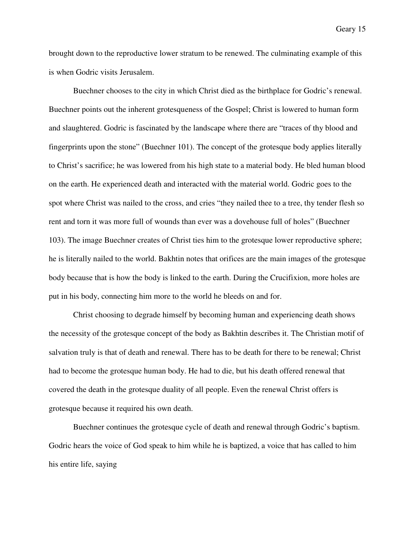brought down to the reproductive lower stratum to be renewed. The culminating example of this is when Godric visits Jerusalem.

 Buechner chooses to the city in which Christ died as the birthplace for Godric's renewal. Buechner points out the inherent grotesqueness of the Gospel; Christ is lowered to human form and slaughtered. Godric is fascinated by the landscape where there are "traces of thy blood and fingerprints upon the stone" (Buechner 101). The concept of the grotesque body applies literally to Christ's sacrifice; he was lowered from his high state to a material body. He bled human blood on the earth. He experienced death and interacted with the material world. Godric goes to the spot where Christ was nailed to the cross, and cries "they nailed thee to a tree, thy tender flesh so rent and torn it was more full of wounds than ever was a dovehouse full of holes" (Buechner 103). The image Buechner creates of Christ ties him to the grotesque lower reproductive sphere; he is literally nailed to the world. Bakhtin notes that orifices are the main images of the grotesque body because that is how the body is linked to the earth. During the Crucifixion, more holes are put in his body, connecting him more to the world he bleeds on and for.

 Christ choosing to degrade himself by becoming human and experiencing death shows the necessity of the grotesque concept of the body as Bakhtin describes it. The Christian motif of salvation truly is that of death and renewal. There has to be death for there to be renewal; Christ had to become the grotesque human body. He had to die, but his death offered renewal that covered the death in the grotesque duality of all people. Even the renewal Christ offers is grotesque because it required his own death.

Buechner continues the grotesque cycle of death and renewal through Godric's baptism. Godric hears the voice of God speak to him while he is baptized, a voice that has called to him his entire life, saying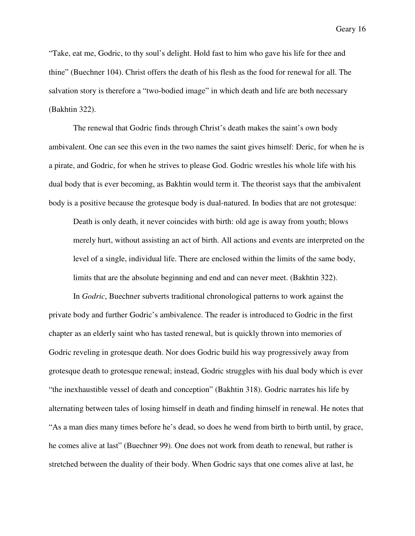"Take, eat me, Godric, to thy soul's delight. Hold fast to him who gave his life for thee and thine" (Buechner 104). Christ offers the death of his flesh as the food for renewal for all. The salvation story is therefore a "two-bodied image" in which death and life are both necessary (Bakhtin 322).

 The renewal that Godric finds through Christ's death makes the saint's own body ambivalent. One can see this even in the two names the saint gives himself: Deric, for when he is a pirate, and Godric, for when he strives to please God. Godric wrestles his whole life with his dual body that is ever becoming, as Bakhtin would term it. The theorist says that the ambivalent body is a positive because the grotesque body is dual-natured. In bodies that are not grotesque:

Death is only death, it never coincides with birth: old age is away from youth; blows merely hurt, without assisting an act of birth. All actions and events are interpreted on the level of a single, individual life. There are enclosed within the limits of the same body, limits that are the absolute beginning and end and can never meet. (Bakhtin 322).

In *Godric*, Buechner subverts traditional chronological patterns to work against the private body and further Godric's ambivalence. The reader is introduced to Godric in the first chapter as an elderly saint who has tasted renewal, but is quickly thrown into memories of Godric reveling in grotesque death. Nor does Godric build his way progressively away from grotesque death to grotesque renewal; instead, Godric struggles with his dual body which is ever "the inexhaustible vessel of death and conception" (Bakhtin 318). Godric narrates his life by alternating between tales of losing himself in death and finding himself in renewal. He notes that "As a man dies many times before he's dead, so does he wend from birth to birth until, by grace, he comes alive at last" (Buechner 99). One does not work from death to renewal, but rather is stretched between the duality of their body. When Godric says that one comes alive at last, he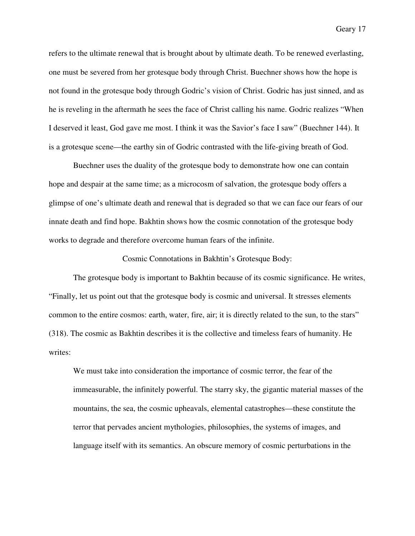refers to the ultimate renewal that is brought about by ultimate death. To be renewed everlasting, one must be severed from her grotesque body through Christ. Buechner shows how the hope is not found in the grotesque body through Godric's vision of Christ. Godric has just sinned, and as he is reveling in the aftermath he sees the face of Christ calling his name. Godric realizes "When I deserved it least, God gave me most. I think it was the Savior's face I saw" (Buechner 144). It is a grotesque scene—the earthy sin of Godric contrasted with the life-giving breath of God.

Buechner uses the duality of the grotesque body to demonstrate how one can contain hope and despair at the same time; as a microcosm of salvation, the grotesque body offers a glimpse of one's ultimate death and renewal that is degraded so that we can face our fears of our innate death and find hope. Bakhtin shows how the cosmic connotation of the grotesque body works to degrade and therefore overcome human fears of the infinite.

#### Cosmic Connotations in Bakhtin's Grotesque Body:

 The grotesque body is important to Bakhtin because of its cosmic significance. He writes, "Finally, let us point out that the grotesque body is cosmic and universal. It stresses elements common to the entire cosmos: earth, water, fire, air; it is directly related to the sun, to the stars" (318). The cosmic as Bakhtin describes it is the collective and timeless fears of humanity. He writes:

We must take into consideration the importance of cosmic terror, the fear of the immeasurable, the infinitely powerful. The starry sky, the gigantic material masses of the mountains, the sea, the cosmic upheavals, elemental catastrophes—these constitute the terror that pervades ancient mythologies, philosophies, the systems of images, and language itself with its semantics. An obscure memory of cosmic perturbations in the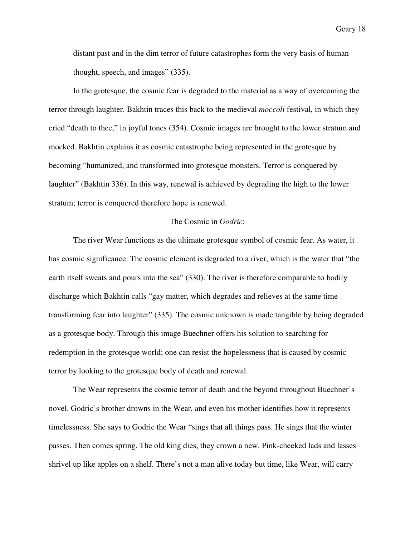distant past and in the dim terror of future catastrophes form the very basis of human thought, speech, and images" (335).

In the grotesque, the cosmic fear is degraded to the material as a way of overcoming the terror through laughter. Bakhtin traces this back to the medieval *moccoli* festival, in which they cried "death to thee," in joyful tones (354). Cosmic images are brought to the lower stratum and mocked. Bakhtin explains it as cosmic catastrophe being represented in the grotesque by becoming "humanized, and transformed into grotesque monsters. Terror is conquered by laughter" (Bakhtin 336). In this way, renewal is achieved by degrading the high to the lower stratum; terror is conquered therefore hope is renewed.

## The Cosmic in *Godric*:

 The river Wear functions as the ultimate grotesque symbol of cosmic fear. As water, it has cosmic significance. The cosmic element is degraded to a river, which is the water that "the earth itself sweats and pours into the sea" (330). The river is therefore comparable to bodily discharge which Bakhtin calls "gay matter, which degrades and relieves at the same time transforming fear into laughter" (335). The cosmic unknown is made tangible by being degraded as a grotesque body. Through this image Buechner offers his solution to searching for redemption in the grotesque world; one can resist the hopelessness that is caused by cosmic terror by looking to the grotesque body of death and renewal.

The Wear represents the cosmic terror of death and the beyond throughout Buechner's novel. Godric's brother drowns in the Wear, and even his mother identifies how it represents timelessness. She says to Godric the Wear "sings that all things pass. He sings that the winter passes. Then comes spring. The old king dies, they crown a new. Pink-cheeked lads and lasses shrivel up like apples on a shelf. There's not a man alive today but time, like Wear, will carry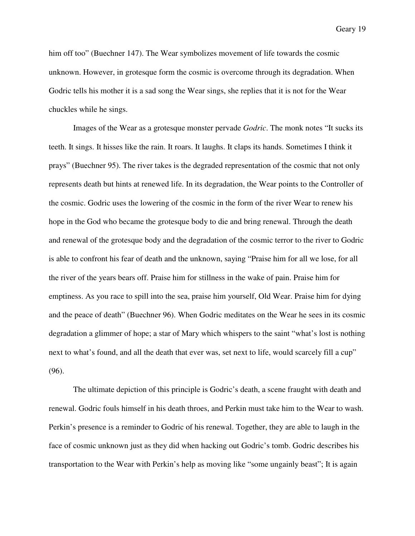him off too" (Buechner 147). The Wear symbolizes movement of life towards the cosmic unknown. However, in grotesque form the cosmic is overcome through its degradation. When Godric tells his mother it is a sad song the Wear sings, she replies that it is not for the Wear chuckles while he sings.

Images of the Wear as a grotesque monster pervade *Godric*. The monk notes "It sucks its teeth. It sings. It hisses like the rain. It roars. It laughs. It claps its hands. Sometimes I think it prays" (Buechner 95). The river takes is the degraded representation of the cosmic that not only represents death but hints at renewed life. In its degradation, the Wear points to the Controller of the cosmic. Godric uses the lowering of the cosmic in the form of the river Wear to renew his hope in the God who became the grotesque body to die and bring renewal. Through the death and renewal of the grotesque body and the degradation of the cosmic terror to the river to Godric is able to confront his fear of death and the unknown, saying "Praise him for all we lose, for all the river of the years bears off. Praise him for stillness in the wake of pain. Praise him for emptiness. As you race to spill into the sea, praise him yourself, Old Wear. Praise him for dying and the peace of death" (Buechner 96). When Godric meditates on the Wear he sees in its cosmic degradation a glimmer of hope; a star of Mary which whispers to the saint "what's lost is nothing next to what's found, and all the death that ever was, set next to life, would scarcely fill a cup" (96).

 The ultimate depiction of this principle is Godric's death, a scene fraught with death and renewal. Godric fouls himself in his death throes, and Perkin must take him to the Wear to wash. Perkin's presence is a reminder to Godric of his renewal. Together, they are able to laugh in the face of cosmic unknown just as they did when hacking out Godric's tomb. Godric describes his transportation to the Wear with Perkin's help as moving like "some ungainly beast"; It is again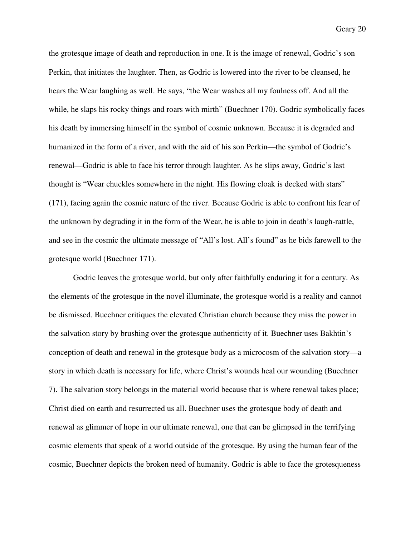the grotesque image of death and reproduction in one. It is the image of renewal, Godric's son Perkin, that initiates the laughter. Then, as Godric is lowered into the river to be cleansed, he hears the Wear laughing as well. He says, "the Wear washes all my foulness off. And all the while, he slaps his rocky things and roars with mirth" (Buechner 170). Godric symbolically faces his death by immersing himself in the symbol of cosmic unknown. Because it is degraded and humanized in the form of a river, and with the aid of his son Perkin—the symbol of Godric's renewal—Godric is able to face his terror through laughter. As he slips away, Godric's last thought is "Wear chuckles somewhere in the night. His flowing cloak is decked with stars" (171), facing again the cosmic nature of the river. Because Godric is able to confront his fear of the unknown by degrading it in the form of the Wear, he is able to join in death's laugh-rattle, and see in the cosmic the ultimate message of "All's lost. All's found" as he bids farewell to the grotesque world (Buechner 171).

 Godric leaves the grotesque world, but only after faithfully enduring it for a century. As the elements of the grotesque in the novel illuminate, the grotesque world is a reality and cannot be dismissed. Buechner critiques the elevated Christian church because they miss the power in the salvation story by brushing over the grotesque authenticity of it. Buechner uses Bakhtin's conception of death and renewal in the grotesque body as a microcosm of the salvation story—a story in which death is necessary for life, where Christ's wounds heal our wounding (Buechner 7). The salvation story belongs in the material world because that is where renewal takes place; Christ died on earth and resurrected us all. Buechner uses the grotesque body of death and renewal as glimmer of hope in our ultimate renewal, one that can be glimpsed in the terrifying cosmic elements that speak of a world outside of the grotesque. By using the human fear of the cosmic, Buechner depicts the broken need of humanity. Godric is able to face the grotesqueness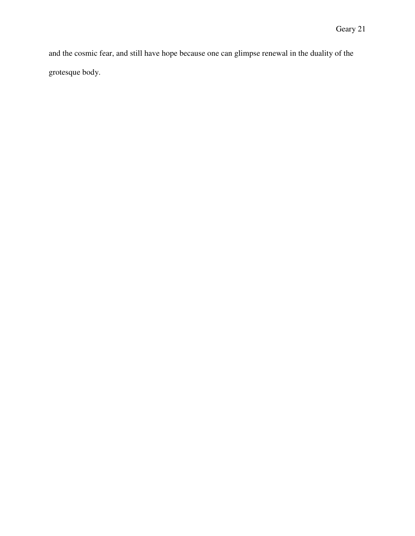and the cosmic fear, and still have hope because one can glimpse renewal in the duality of the grotesque body.